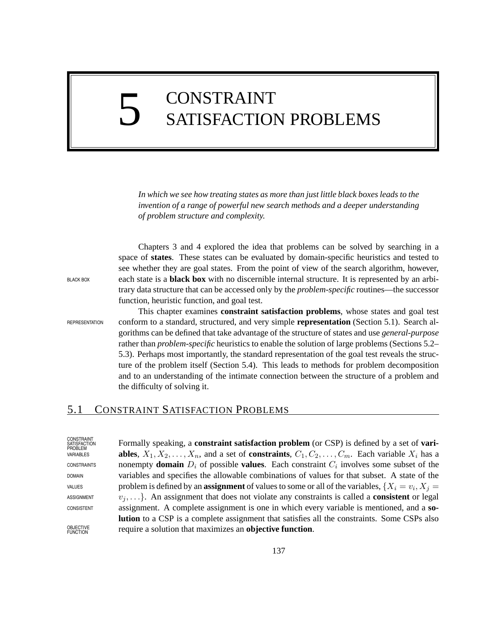# 5 CONSTRAINT SATISFACTION PROBLEMS

*In which we see how treating states as more than just little black boxes leads to the invention of a range of powerful new search methods and a deeper understanding of problem structure and complexity.*

Chapters 3 and 4 explored the idea that problems can be solved by searching in a space of **states**. These states can be evaluated by domain-specific heuristics and tested to see whether they are goal states. From the point of view of the search algorithm, however, BLACK BOX each state is a **black box** with no discernible internal structure. It is represented by an arbitrary data structure that can be accessed only by the *problem-specific* routines—the successor function, heuristic function, and goal test.

This chapter examines **constraint satisfaction problems**, whose states and goal test REPRESENTATION conform to a standard, structured, and very simple **representation** (Section 5.1). Search algorithms can be defined that take advantage of the structure of states and use *general-purpose* rather than *problem-specific* heuristics to enable the solution of large problems (Sections 5.2– 5.3). Perhaps most importantly, the standard representation of the goal test reveals the structure of the problem itself (Section 5.4). This leads to methods for problem decomposition and to an understanding of the intimate connection between the structure of a problem and the difficulty of solving it.

## 5.1 CONSTRAINT SATISFACTION PROBLEMS

SATISFACTION PROBLEM DOMAIN VALUES

OBJECTIVE FUNCTION

Formally speaking, a **constraint satisfaction problem** (or CSP) is defined by a set of **vari-**VARIABLES **ables**,  $X_1, X_2, \ldots, X_n$ , and a set of **constraints**,  $C_1, C_2, \ldots, C_m$ . Each variable  $X_i$  has a  $\alpha$  constraints anonempty **domain**  $D_i$  of possible **values**. Each constraint  $C_i$  involves some subset of the variables and specifies the allowable combinations of values for that subset. A state of the problem is defined by an **assignment** of values to some or all of the variables,  $\{X_i = v_i, X_j = \emptyset\}$ ASSIGNMENT  $v_j, \ldots$ . An assignment that does not violate any constraints is called a **consistent** or legal CONSISTENT assignment. A complete assignment is one in which every variable is mentioned, and a **solution** to a CSP is a complete assignment that satisfies all the constraints. Some CSPs also require a solution that maximizes an **objective function**.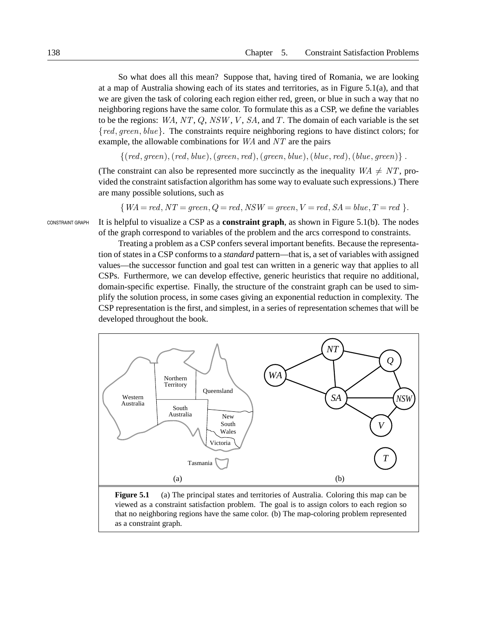So what does all this mean? Suppose that, having tired of Romania, we are looking at a map of Australia showing each of its states and territories, as in Figure 5.1(a), and that we are given the task of coloring each region either red, green, or blue in such a way that no neighboring regions have the same color. To formulate this as a CSP, we define the variables to be the regions:  $WA, NT, Q, NSW, V, SA, and T$ . The domain of each variable is the set  $\{red, green, blue\}$ . The constraints require neighboring regions to have distinct colors; for example, the allowable combinations for WA and NT are the pairs

 $\{(\text{red}, \text{green}), (\text{red}, \text{blue}), (\text{green}, \text{red}), (\text{green}, \text{blue}), (\text{blue}, \text{red}), (\text{blue}, \text{green})\}$ .

(The constraint can also be represented more succinctly as the inequality  $WA \neq NT$ , provided the constraint satisfaction algorithm has some way to evaluate such expressions.) There are many possible solutions, such as

 $\{WA = red, NT = green, Q = red, NSW = green, V = red, SA = blue, T = red \}.$ 

CONSTRAINT GRAPH It is helpful to visualize a CSP as a **constraint graph**, as shown in Figure 5.1(b). The nodes of the graph correspond to variables of the problem and the arcs correspond to constraints.

> Treating a problem as a CSP confers several important benefits. Because the representation of states in a CSP conforms to a *standard* pattern—that is, a set of variables with assigned values—the successor function and goal test can written in a generic way that applies to all CSPs. Furthermore, we can develop effective, generic heuristics that require no additional, domain-specific expertise. Finally, the structure of the constraint graph can be used to simplify the solution process, in some cases giving an exponential reduction in complexity. The CSP representation is the first, and simplest, in a series of representation schemes that will be developed throughout the book.



**Figure 5.1** (a) The principal states and territories of Australia. Coloring this map can be viewed as a constraint satisfaction problem. The goal is to assign colors to each region so that no neighboring regions have the same color. (b) The map-coloring problem represented as a constraint graph.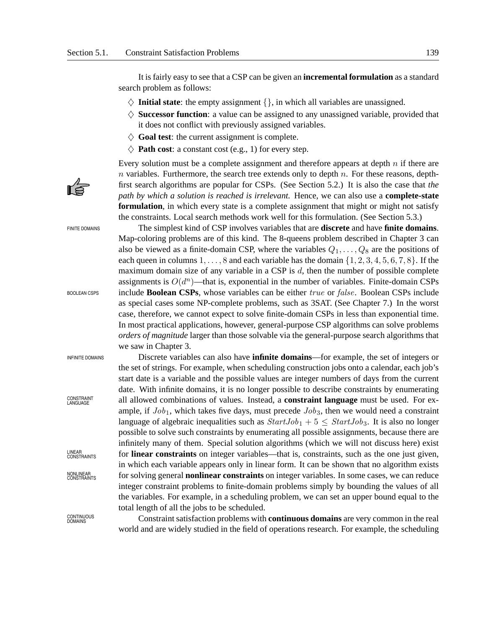It is fairly easy to see that a CSP can be given an **incremental formulation** as a standard search problem as follows:

- $\diamondsuit$  **Initial state**: the empty assignment  $\{\}$ , in which all variables are unassigned.
- $\diamondsuit$  **Successor function**: a value can be assigned to any unassigned variable, provided that it does not conflict with previously assigned variables.
- $\diamondsuit$  **Goal test**: the current assignment is complete.
- $\Diamond$  **Path cost**: a constant cost (e.g., 1) for every step.

Every solution must be a complete assignment and therefore appears at depth  $n$  if there are  $n$  variables. Furthermore, the search tree extends only to depth  $n$ . For these reasons, depthfirst search algorithms are popular for CSPs. (See Section 5.2.) It is also the case that *the path by which a solution is reached is irrelevant.* Hence, we can also use a **complete-state formulation**, in which every state is a complete assignment that might or might not satisfy the constraints. Local search methods work well for this formulation. (See Section 5.3.)

FINITE DOMAINS The simplest kind of CSP involves variables that are **discrete** and have **finite domains**. Map-coloring problems are of this kind. The 8-queens problem described in Chapter 3 can also be viewed as a finite-domain CSP, where the variables  $Q_1, \ldots, Q_8$  are the positions of each queen in columns  $1, \ldots, 8$  and each variable has the domain  $\{1, 2, 3, 4, 5, 6, 7, 8\}$ . If the maximum domain size of any variable in a CSP is  $d$ , then the number of possible complete assignments is  $O(d^n)$ —that is, exponential in the number of variables. Finite-domain CSPs BOOLEAN CSPS include **Boolean CSPs**, whose variables can be either true or false. Boolean CSPs include as special cases some NP-complete problems, such as 3SAT. (See Chapter 7.) In the worst case, therefore, we cannot expect to solve finite-domain CSPs in less than exponential time. In most practical applications, however, general-purpose CSP algorithms can solve problems *orders of magnitude* larger than those solvable via the general-purpose search algorithms that we saw in Chapter 3.

INFINITE DOMAINS Discrete variables can also have **infinite domains**—for example, the set of integers or the set of strings. For example, when scheduling construction jobs onto a calendar, each job's start date is a variable and the possible values are integer numbers of days from the current date. With infinite domains, it is no longer possible to describe constraints by enumerating all allowed combinations of values. Instead, a **constraint language** must be used. For example, if  $Job_1$ , which takes five days, must precede  $Job_3$ , then we would need a constraint language of algebraic inequalities such as  $StartJob_1 + 5 \leq StartJob_3$ . It is also no longer possible to solve such constraints by enumerating all possible assignments, because there are infinitely many of them. Special solution algorithms (which we will not discuss here) exist for **linear constraints** on integer variables—that is, constraints, such as the one just given, LINEAR in which each variable appears only in linear form. It can be shown that no algorithm exists for solving general **nonlinear constraints** on integer variables. In some cases, we can reduce integer constraint problems to finite-domain problems simply by bounding the values of all the variables. For example, in a scheduling problem, we can set an upper bound equal to the total length of all the jobs to be scheduled.

CONTINUOUS<br>DOMAINS

Constraint satisfaction problems with **continuous domains** are very common in the real world and are widely studied in the field of operations research. For example, the scheduling



CONSTRAINT<br>LANGUAGE

**CONSTRAINTS** 

NONLINEAR<br>CONSTRAINTS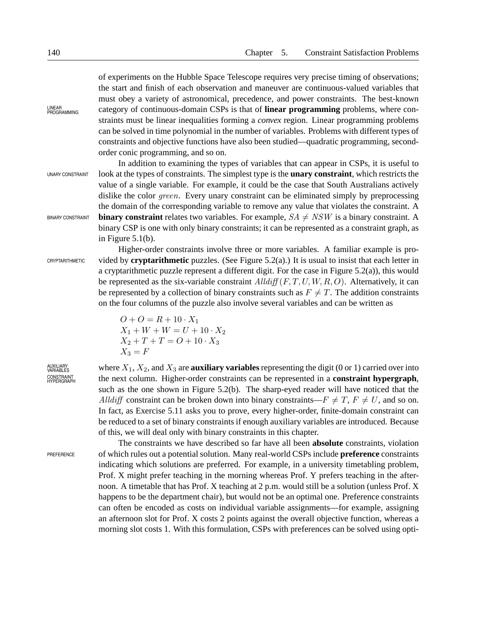of experiments on the Hubble Space Telescope requires very precise timing of observations; the start and finish of each observation and maneuver are continuous-valued variables that must obey a variety of astronomical, precedence, and power constraints. The best-known category of continuous-domain CSPs is that of **linear programming** problems, where constraints must be linear inequalities forming a *convex* region. Linear programming problems can be solved in time polynomial in the number of variables. Problems with different types of constraints and objective functions have also been studied—quadratic programming, secondorder conic programming, and so on.

In addition to examining the types of variables that can appear in CSPs, it is useful to UNARY CONSTRAINT look at the types of constraints. The simplest type is the **unary constraint**, which restricts the value of a single variable. For example, it could be the case that South Australians actively dislike the color *green*. Every unary constraint can be eliminated simply by preprocessing the domain of the corresponding variable to remove any value that violates the constraint. A BINARY CONSTRAINT **binary constraint** relates two variables. For example,  $SA \neq NSW$  is a binary constraint. A binary CSP is one with only binary constraints; it can be represented as a constraint graph, as in Figure 5.1(b).

Higher-order constraints involve three or more variables. A familiar example is pro-CRYPTARITHMETIC vided by **cryptarithmetic** puzzles. (See Figure 5.2(a).) It is usual to insist that each letter in a cryptarithmetic puzzle represent a different digit. For the case in Figure 5.2(a)), this would be represented as the six-variable constraint  $Alldiff(F, T, U, W, R, O)$ . Alternatively, it can be represented by a collection of binary constraints such as  $F \neq T$ . The addition constraints on the four columns of the puzzle also involve several variables and can be written as

$$
O + O = R + 10 \cdot X_1
$$
  
\n
$$
X_1 + W + W = U + 10 \cdot X_2
$$
  
\n
$$
X_2 + T + T = O + 10 \cdot X_3
$$
  
\n
$$
X_3 = F
$$

AUXILIARY<br>VARIABLES CONSTRAINT HYPERGRAPH

where  $X_1, X_2$ , and  $X_3$  are **auxiliary variables** representing the digit (0 or 1) carried over into the next column. Higher-order constraints can be represented in a **constraint hypergraph**, such as the one shown in Figure 5.2(b). The sharp-eyed reader will have noticed that the Alldiff constraint can be broken down into binary constraints— $F \neq T$ ,  $F \neq U$ , and so on. In fact, as Exercise 5.11 asks you to prove, every higher-order, finite-domain constraint can be reduced to a set of binary constraints if enough auxiliary variables are introduced. Because of this, we will deal only with binary constraints in this chapter.

The constraints we have described so far have all been **absolute** constraints, violation PREFERENCE of which rules out a potential solution. Many real-world CSPs include **preference** constraints indicating which solutions are preferred. For example, in a university timetabling problem, Prof. X might prefer teaching in the morning whereas Prof. Y prefers teaching in the afternoon. A timetable that has Prof. X teaching at 2 p.m. would still be a solution (unless Prof. X happens to be the department chair), but would not be an optimal one. Preference constraints can often be encoded as costs on individual variable assignments—for example, assigning an afternoon slot for Prof. X costs 2 points against the overall objective function, whereas a morning slot costs 1. With this formulation, CSPs with preferences can be solved using opti-

LINEAR<br>PROGRAMMING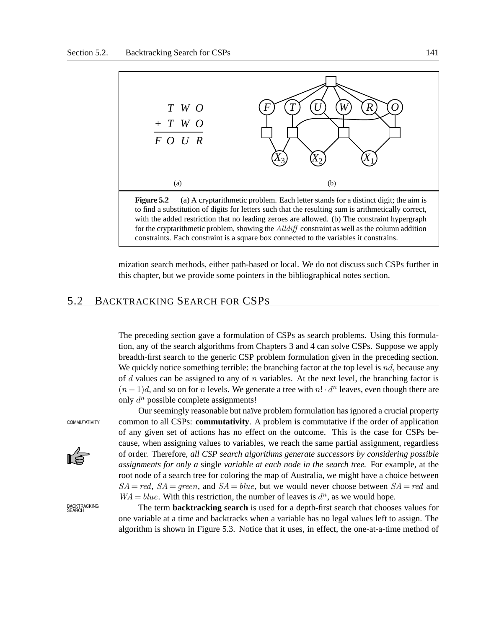

**Figure 5.2** (a) A cryptarithmetic problem. Each letter stands for a distinct digit; the aim is to find a substitution of digits for letters such that the resulting sum is arithmetically correct, with the added restriction that no leading zeroes are allowed. (b) The constraint hypergraph for the cryptarithmetic problem, showing the *Alldiff* constraint as well as the column addition constraints. Each constraint is a square box connected to the variables it constrains.

mization search methods, either path-based or local. We do not discuss such CSPs further in this chapter, but we provide some pointers in the bibliographical notes section.

# 5.2 BACKTRACKING SEARCH FOR CSPS

The preceding section gave a formulation of CSPs as search problems. Using this formulation, any of the search algorithms from Chapters 3 and 4 can solve CSPs. Suppose we apply breadth-first search to the generic CSP problem formulation given in the preceding section. We quickly notice something terrible: the branching factor at the top level is  $nd$ , because any of  $d$  values can be assigned to any of  $n$  variables. At the next level, the branching factor is  $(n-1)d$ , and so on for n levels. We generate a tree with  $n! \cdot d^n$  leaves, even though there are only  $d^n$  possible complete assignments!



Our seemingly reasonable but naïve problem formulation has ignored a crucial property COMMUTATIVITY common to all CSPs: **commutativity**. A problem is commutative if the order of application of any given set of actions has no effect on the outcome. This is the case for CSPs because, when assigning values to variables, we reach the same partial assignment, regardless of order. Therefore, *all CSP search algorithms generate successors by considering possible assignments for only a* single *variable at each node in the search tree.* For example, at the root node of a search tree for coloring the map of Australia, we might have a choice between  $SA = red$ ,  $SA = green$ , and  $SA = blue$ , but we would never choose between  $SA = red$  and  $WA = blue$ . With this restriction, the number of leaves is  $d<sup>n</sup>$ , as we would hope.

BACKTRACKING<br>SEARCH

The term **backtracking search** is used for a depth-first search that chooses values for one variable at a time and backtracks when a variable has no legal values left to assign. The algorithm is shown in Figure 5.3. Notice that it uses, in effect, the one-at-a-time method of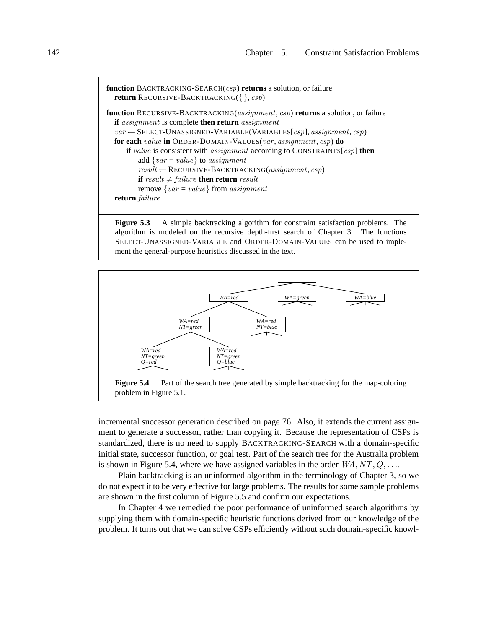**function** BACKTRACKING-SEARCH(csp) **returns** a solution, or failure **return** RECURSIVE-BACKTRACKING({ }, csp)

**function** RECURSIVE-BACKTRACKING(assignment, csp) **returns** a solution, or failure **if** assignment is complete **then return** assignment  $var \leftarrow$  SELECT-UNASSIGNED-VARIABLE(VARIABLES $[csp]$ , assignment, csp) **for each** value **in** ORDER-DOMAIN-VALUES(var , assignment, csp) **do if** value is consistent with assignment according to CONSTRAINTS[csp] **then** add  $\{var = value\}$  to *assignment*  $result \leftarrow$  RECURSIVE-BACKTRACKING(*assignment, csp*) **if** result  $\neq$  failure **then return** result remove  $\{var = value\}$  from *assignment* **return** failure

**Figure 5.3** A simple backtracking algorithm for constraint satisfaction problems. The algorithm is modeled on the recursive depth-first search of Chapter 3. The functions SELECT-UNASSIGNED-VARIABLE and ORDER-DOMAIN-VALUES can be used to implement the general-purpose heuristics discussed in the text.



incremental successor generation described on page 76. Also, it extends the current assignment to generate a successor, rather than copying it. Because the representation of CSPs is standardized, there is no need to supply BACKTRACKING-SEARCH with a domain-specific initial state, successor function, or goal test. Part of the search tree for the Australia problem is shown in Figure 5.4, where we have assigned variables in the order  $WA, NT, Q, \ldots$ .

Plain backtracking is an uninformed algorithm in the terminology of Chapter 3, so we do not expect it to be very effective for large problems. The results for some sample problems are shown in the first column of Figure 5.5 and confirm our expectations.

In Chapter 4 we remedied the poor performance of uninformed search algorithms by supplying them with domain-specific heuristic functions derived from our knowledge of the problem. It turns out that we can solve CSPs efficiently without such domain-specific knowl-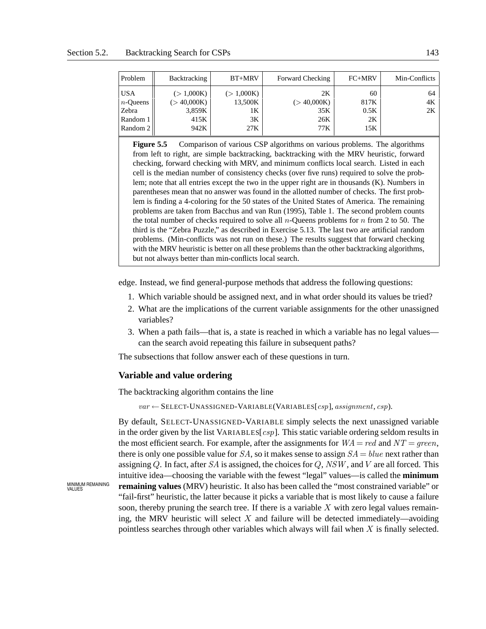| Backtracking | BT+MRV    | <b>Forward Checking</b> | FC+MRV | Min-Conflicts |
|--------------|-----------|-------------------------|--------|---------------|
| (>1,000K)    | (>1,000K) | 2K                      | 60     | 64            |
| (>40,000K)   | 13,500K   | (> 40,000K)             | 817K   | 4K            |
| 3,859K       | 1Κ        | 35K                     | 0.5K   | 2K            |
| 415K         | 3K        | 26K                     | 2K     |               |
| 942K         | 27K       | 77K                     | 15K    |               |
|              | Random 2  |                         |        |               |

**Figure 5.5** Comparison of various CSP algorithms on various problems. The algorithms from left to right, are simple backtracking, backtracking with the MRV heuristic, forward checking, forward checking with MRV, and minimum conflicts local search. Listed in each cell is the median number of consistency checks (over five runs) required to solve the problem; note that all entries except the two in the upper right are in thousands (K). Numbers in parentheses mean that no answer was found in the allotted number of checks. The first problem is finding a 4-coloring for the 50 states of the United States of America. The remaining problems are taken from Bacchus and van Run (1995), Table 1. The second problem counts the total number of checks required to solve all n-Oueens problems for n from 2 to 50. The third is the "Zebra Puzzle," as described in Exercise 5.13. The last two are artificial random problems. (Min-conflicts was not run on these.) The results suggest that forward checking with the MRV heuristic is better on all these problems than the other backtracking algorithms, but not always better than min-conflicts local search.

edge. Instead, we find general-purpose methods that address the following questions:

- 1. Which variable should be assigned next, and in what order should its values be tried?
- 2. What are the implications of the current variable assignments for the other unassigned variables?
- 3. When a path fails—that is, a state is reached in which a variable has no legal values can the search avoid repeating this failure in subsequent paths?

The subsections that follow answer each of these questions in turn.

#### **Variable and value ordering**

The backtracking algorithm contains the line

 $var \leftarrow$  SELECT-UNASSIGNED-VARIABLE(VARIABLES[csp], assignment, csp).

By default, SELECT-UNASSIGNED-VARIABLE simply selects the next unassigned variable in the order given by the list VARIABLES $[csp]$ . This static variable ordering seldom results in the most efficient search. For example, after the assignments for  $WA = red$  and  $NT = green$ , there is only one possible value for SA, so it makes sense to assign  $SA = blue$  next rather than assigning Q. In fact, after SA is assigned, the choices for Q,  $NSW$ , and V are all forced. This intuitive idea—choosing the variable with the fewest "legal" values—is called the **minimum remaining values** (MRV) heuristic. It also has been called the "most constrained variable" or "fail-first" heuristic, the latter because it picks a variable that is most likely to cause a failure soon, thereby pruning the search tree. If there is a variable  $X$  with zero legal values remaining, the MRV heuristic will select  $X$  and failure will be detected immediately—avoiding pointless searches through other variables which always will fail when X is finally selected.

MINIMUM REMAINING<br>VALUES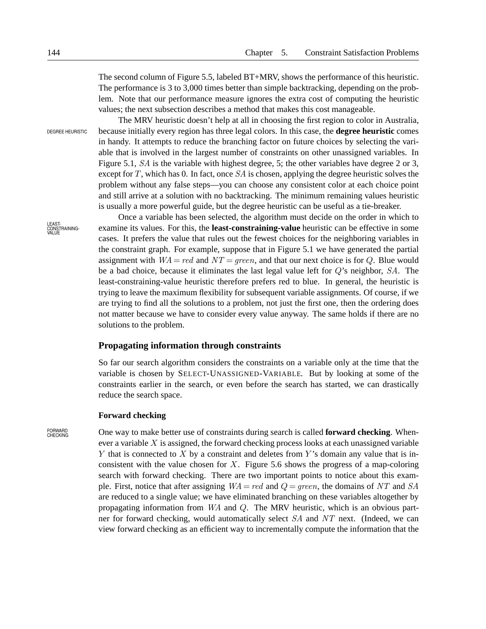The second column of Figure 5.5, labeled BT+MRV, shows the performance of this heuristic. The performance is 3 to 3,000 times better than simple backtracking, depending on the problem. Note that our performance measure ignores the extra cost of computing the heuristic values; the next subsection describes a method that makes this cost manageable.

LEAST-CONSTRAINING-VALUE

The MRV heuristic doesn't help at all in choosing the first region to color in Australia, DEGREE HEURISTIC because initially every region has three legal colors. In this case, the **degree heuristic** comes in handy. It attempts to reduce the branching factor on future choices by selecting the variable that is involved in the largest number of constraints on other unassigned variables. In Figure 5.1, SA is the variable with highest degree, 5; the other variables have degree 2 or 3, except for  $T$ , which has 0. In fact, once  $SA$  is chosen, applying the degree heuristic solves the problem without any false steps—you can choose any consistent color at each choice point and still arrive at a solution with no backtracking. The minimum remaining values heuristic is usually a more powerful guide, but the degree heuristic can be useful as a tie-breaker.

> Once a variable has been selected, the algorithm must decide on the order in which to examine its values. For this, the **least-constraining-value** heuristic can be effective in some cases. It prefers the value that rules out the fewest choices for the neighboring variables in the constraint graph. For example, suppose that in Figure 5.1 we have generated the partial assignment with  $WA = red$  and  $NT = green$ , and that our next choice is for Q. Blue would be a bad choice, because it eliminates the last legal value left for Q's neighbor, SA. The least-constraining-value heuristic therefore prefers red to blue. In general, the heuristic is trying to leave the maximum flexibility for subsequent variable assignments. Of course, if we are trying to find all the solutions to a problem, not just the first one, then the ordering does not matter because we have to consider every value anyway. The same holds if there are no solutions to the problem.

#### **Propagating information through constraints**

So far our search algorithm considers the constraints on a variable only at the time that the variable is chosen by SELECT-UNASSIGNED-VARIABLE. But by looking at some of the constraints earlier in the search, or even before the search has started, we can drastically reduce the search space.

#### **Forward checking**

FORWARD<br>CHECKING

One way to make better use of constraints during search is called **forward checking**. Whenever a variable  $X$  is assigned, the forward checking process looks at each unassigned variable Y that is connected to X by a constraint and deletes from Y's domain any value that is inconsistent with the value chosen for  $X$ . Figure 5.6 shows the progress of a map-coloring search with forward checking. There are two important points to notice about this example. First, notice that after assigning  $WA = red$  and  $Q = green$ , the domains of NT and SA are reduced to a single value; we have eliminated branching on these variables altogether by propagating information from WA and Q. The MRV heuristic, which is an obvious partner for forward checking, would automatically select SA and NT next. (Indeed, we can view forward checking as an efficient way to incrementally compute the information that the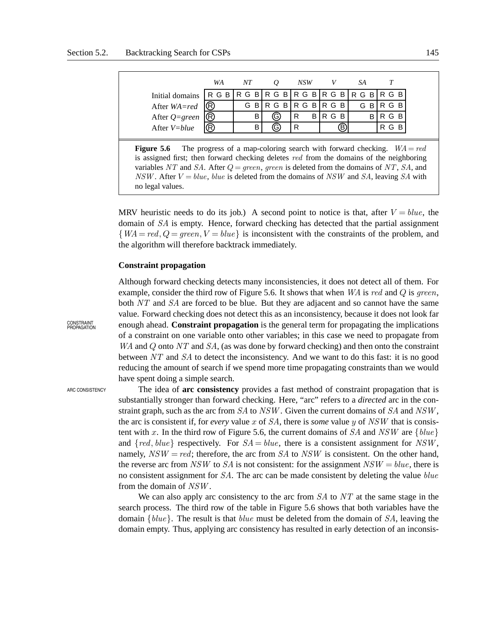|                 | WA | NT   |     | NSW         |     |                                           |    |
|-----------------|----|------|-----|-------------|-----|-------------------------------------------|----|
| Initial domains |    |      |     |             |     | R G B R G B R G B R G B R G B R G B R G B |    |
| After WA=red    |    | G BI |     | RGB RGB RGB |     | G B                                       | G  |
| After Q=green   | ®  | В    | (G) |             | G B |                                           | G. |
| After V=blue    |    | B    | G.  |             |     |                                           | G  |

**Figure 5.6** The progress of a map-coloring search with forward checking.  $WA = red$ is assigned first; then forward checking deletes red from the domains of the neighboring variables NT and SA. After  $Q = green$ , green, is deleted from the domains of NT, SA, and  $NSW$ . After  $V = blue$ , blue is deleted from the domains of NSW and SA, leaving SA with no legal values.

MRV heuristic needs to do its job.) A second point to notice is that, after  $V = blue$ , the domain of SA is empty. Hence, forward checking has detected that the partial assignment  $\{WA = red, Q = green, V = blue\}$  is inconsistent with the constraints of the problem, and the algorithm will therefore backtrack immediately.

Although forward checking detects many inconsistencies, it does not detect all of them. For

#### **Constraint propagation**

example, consider the third row of Figure 5.6. It shows that when  $WA$  is red and  $Q$  is green, both NT and SA are forced to be blue. But they are adjacent and so cannot have the same value. Forward checking does not detect this as an inconsistency, because it does not look far enough ahead. **Constraint propagation** is the general term for propagating the implications of a constraint on one variable onto other variables; in this case we need to propagate from  $WA$  and  $Q$  onto  $NT$  and  $SA$ , (as was done by forward checking) and then onto the constraint between NT and SA to detect the inconsistency. And we want to do this fast: it is no good reducing the amount of search if we spend more time propagating constraints than we would have spent doing a simple search.

CONSTRAINT<br>PROPAGATION

ARC CONSISTENCY The idea of **arc consistency** provides a fast method of constraint propagation that is substantially stronger than forward checking. Here, "arc" refers to a *directed* arc in the constraint graph, such as the arc from  $SA$  to  $NSW$ . Given the current domains of  $SA$  and  $NSW$ , the arc is consistent if, for *every* value x of SA, there is *some* value y of NSW that is consistent with x. In the third row of Figure 5.6, the current domains of SA and NSW are  $\{blue\}$ and  $\{red, blue\}$  respectively. For  $SA = blue$ , there is a consistent assignment for NSW, namely,  $NSW = red$ ; therefore, the arc from SA to NSW is consistent. On the other hand, the reverse arc from NSW to SA is not consistent: for the assignment NSW = blue, there is no consistent assignment for  $SA$ . The arc can be made consistent by deleting the value  $blue$ from the domain of NSW .

> We can also apply arc consistency to the arc from  $SA$  to  $NT$  at the same stage in the search process. The third row of the table in Figure 5.6 shows that both variables have the domain  $\{blue\}$ . The result is that *blue* must be deleted from the domain of SA, leaving the domain empty. Thus, applying arc consistency has resulted in early detection of an inconsis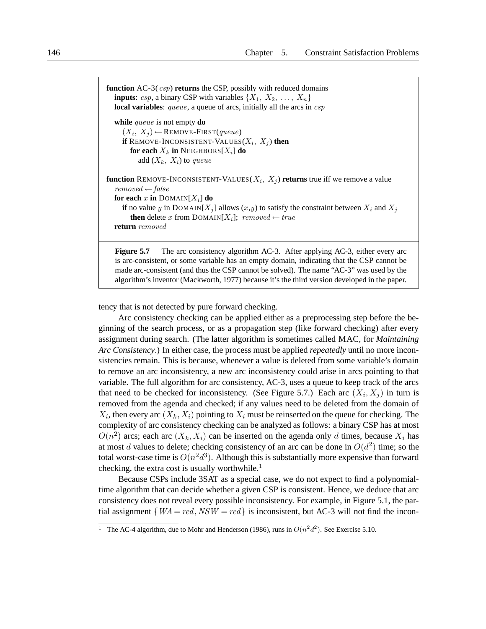**function** AC-3( $csp$ ) **returns** the CSP, possibly with reduced domains **inputs**: csp, a binary CSP with variables  $\{X_1, X_2, \ldots, X_n\}$ **local variables**: queue, a queue of arcs, initially all the arcs in csp **while** queue is not empty **do**  $(X_i, X_j) \leftarrow$  REMOVE-FIRST(queue) **if** Remove-Inconsistent-Values( $X_i$ ,  $X_j$ ) **then for each**  $X_k$  **in** NEIGHBORS[ $X_i$ ] **do** add  $(X_k, X_i)$  to queue **function** REMOVE-INCONSISTENT-VALUES( $X_i$ ,  $X_j$ ) **returns** true iff we remove a value  $removed \leftarrow false$ **for each** x **in** DOMAIN $[X_i]$  **do if** no value y in DOMAIN[ $X_j$ ] allows  $(x, y)$  to satisfy the constraint between  $X_i$  and  $X_j$ **then** delete x from DOMAIN[ $X_i$ ]; removed  $\leftarrow$  true **return** removed

**Figure** 5.7 The arc consistency algorithm AC-3. After applying AC-3, either every arc is arc-consistent, or some variable has an empty domain, indicating that the CSP cannot be made arc-consistent (and thus the CSP cannot be solved). The name "AC-3" was used by the algorithm's inventor (Mackworth, 1977) because it's the third version developed in the paper.

tency that is not detected by pure forward checking.

Arc consistency checking can be applied either as a preprocessing step before the beginning of the search process, or as a propagation step (like forward checking) after every assignment during search. (The latter algorithm is sometimes called MAC, for *Maintaining Arc Consistency*.) In either case, the process must be applied *repeatedly* until no more inconsistencies remain. This is because, whenever a value is deleted from some variable's domain to remove an arc inconsistency, a new arc inconsistency could arise in arcs pointing to that variable. The full algorithm for arc consistency, AC-3, uses a queue to keep track of the arcs that need to be checked for inconsistency. (See Figure 5.7.) Each arc  $(X_i, X_j)$  in turn is removed from the agenda and checked; if any values need to be deleted from the domain of  $X_i$ , then every arc  $(X_k, X_i)$  pointing to  $X_i$  must be reinserted on the queue for checking. The complexity of arc consistency checking can be analyzed as follows: a binary CSP has at most  $O(n^2)$  arcs; each arc  $(X_k, X_i)$  can be inserted on the agenda only d times, because  $X_i$  has at most d values to delete; checking consistency of an arc can be done in  $O(d^2)$  time; so the total worst-case time is  $O(n^2d^3)$ . Although this is substantially more expensive than forward checking, the extra cost is usually worthwhile.<sup>1</sup>

Because CSPs include 3SAT as a special case, we do not expect to find a polynomialtime algorithm that can decide whether a given CSP is consistent. Hence, we deduce that arc consistency does not reveal every possible inconsistency. For example, in Figure 5.1, the partial assignment { $WA = red$ ,  $NSW = red$ } is inconsistent, but AC-3 will not find the incon-

<sup>&</sup>lt;sup>1</sup> The AC-4 algorithm, due to Mohr and Henderson (1986), runs in  $O(n^2d^2)$ . See Exercise 5.10.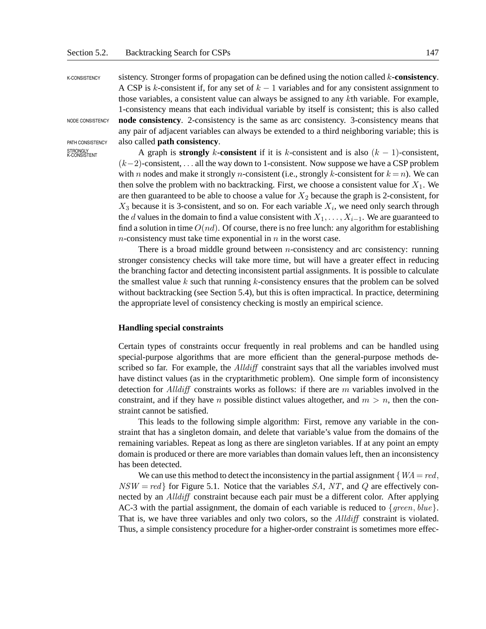STRONGLY<br>K-CONSISTENT

K-CONSISTENCY sistency. Stronger forms of propagation can be defined using the notion called k**-consistency**. A CSP is k-consistent if, for any set of  $k - 1$  variables and for any consistent assignment to those variables, a consistent value can always be assigned to any kth variable. For example, 1-consistency means that each individual variable by itself is consistent; this is also called NODE CONSISTENCY **node consistency**. 2-consistency is the same as arc consistency. 3-consistency means that any pair of adjacent variables can always be extended to a third neighboring variable; this is PATH CONSISTENCY also called **path consistency**.

> A graph is **strongly** k**-consistent** if it is k-consistent and is also  $(k - 1)$ -consistent,  $(k-2)$ -consistent, . . . all the way down to 1-consistent. Now suppose we have a CSP problem with n nodes and make it strongly n-consistent (i.e., strongly k-consistent for  $k = n$ ). We can then solve the problem with no backtracking. First, we choose a consistent value for  $X_1$ . We are then guaranteed to be able to choose a value for  $X_2$  because the graph is 2-consistent, for  $X_3$  because it is 3-consistent, and so on. For each variable  $X_i$ , we need only search through the d values in the domain to find a value consistent with  $X_1, \ldots, X_{i-1}$ . We are guaranteed to find a solution in time  $O(nd)$ . Of course, there is no free lunch: any algorithm for establishing  $n$ -consistency must take time exponential in  $n$  in the worst case.

> There is a broad middle ground between  $n$ -consistency and arc consistency: running stronger consistency checks will take more time, but will have a greater effect in reducing the branching factor and detecting inconsistent partial assignments. It is possible to calculate the smallest value  $k$  such that running  $k$ -consistency ensures that the problem can be solved without backtracking (see Section 5.4), but this is often impractical. In practice, determining the appropriate level of consistency checking is mostly an empirical science.

#### **Handling special constraints**

Certain types of constraints occur frequently in real problems and can be handled using special-purpose algorithms that are more efficient than the general-purpose methods described so far. For example, the *Alldiff* constraint says that all the variables involved must have distinct values (as in the cryptarithmetic problem). One simple form of inconsistency detection for Alldiff constraints works as follows: if there are m variables involved in the constraint, and if they have n possible distinct values altogether, and  $m > n$ , then the constraint cannot be satisfied.

This leads to the following simple algorithm: First, remove any variable in the constraint that has a singleton domain, and delete that variable's value from the domains of the remaining variables. Repeat as long as there are singleton variables. If at any point an empty domain is produced or there are more variables than domain values left, then an inconsistency has been detected.

We can use this method to detect the inconsistency in the partial assignment { $WA = red$ ,  $NSW = red$  for Figure 5.1. Notice that the variables SA, NT, and Q are effectively connected by an Alldiff constraint because each pair must be a different color. After applying AC-3 with the partial assignment, the domain of each variable is reduced to  $\{green, blue\}$ . That is, we have three variables and only two colors, so the *Alldiff* constraint is violated. Thus, a simple consistency procedure for a higher-order constraint is sometimes more effec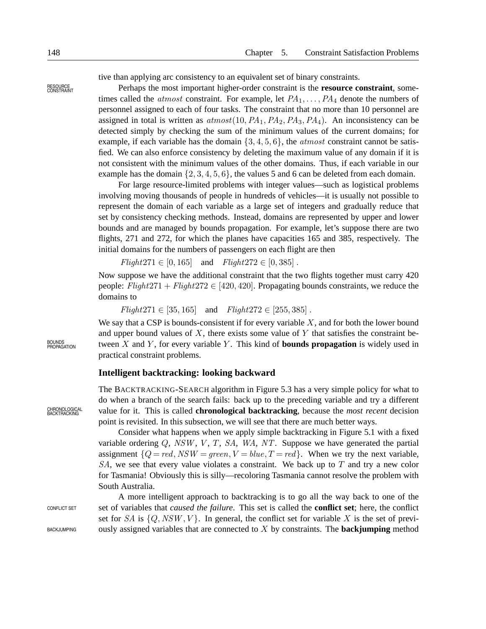RESOURCE<br>CONSTRAINT

tive than applying arc consistency to an equivalent set of binary constraints.

Perhaps the most important higher-order constraint is the **resource constraint**, sometimes called the *atmost* constraint. For example, let  $PA_1, \ldots, PA_4$  denote the numbers of personnel assigned to each of four tasks. The constraint that no more than 10 personnel are assigned in total is written as  $atmost(10, PA_1, PA_2, PA_3, PA_4)$ . An inconsistency can be detected simply by checking the sum of the minimum values of the current domains; for example, if each variable has the domain  $\{3, 4, 5, 6\}$ , the *atmost* constraint cannot be satisfied. We can also enforce consistency by deleting the maximum value of any domain if it is not consistent with the minimum values of the other domains. Thus, if each variable in our example has the domain  $\{2, 3, 4, 5, 6\}$ , the values 5 and 6 can be deleted from each domain.

For large resource-limited problems with integer values—such as logistical problems involving moving thousands of people in hundreds of vehicles—it is usually not possible to represent the domain of each variable as a large set of integers and gradually reduce that set by consistency checking methods. Instead, domains are represented by upper and lower bounds and are managed by bounds propagation. For example, let's suppose there are two flights, 271 and 272, for which the planes have capacities 165 and 385, respectively. The initial domains for the numbers of passengers on each flight are then

 $Flight271 \in [0, 165]$  and  $Flight272 \in [0, 385]$ .

Now suppose we have the additional constraint that the two flights together must carry 420 people:  $Flight271 + Flight272 \in [420, 420]$ . Propagating bounds constraints, we reduce the domains to

 $Flight271 \in [35, 165]$  and  $Flight272 \in [255, 385]$ .

We say that a CSP is bounds-consistent if for every variable  $X$ , and for both the lower bound and upper bound values of X, there exists some value of Y that satisfies the constraint be-BOUNDS<br>PROPAGATION tween X and Y, for every variable Y. This kind of **bounds propagation** is widely used in practical constraint problems.

#### **Intelligent backtracking: looking backward**

The BACKTRACKING-SEARCH algorithm in Figure 5.3 has a very simple policy for what to do when a branch of the search fails: back up to the preceding variable and try a different value for it. This is called **chronological backtracking**, because the *most recent* decision point is revisited. In this subsection, we will see that there are much better ways.

Consider what happens when we apply simple backtracking in Figure 5.1 with a fixed variable ordering  $Q$ , NSW, V, T, SA, WA, NT. Suppose we have generated the partial assignment  $\{Q = red, NSW = green, V = blue, T = red\}$ . When we try the next variable, SA, we see that every value violates a constraint. We back up to  $T$  and try a new color for Tasmania! Obviously this is silly—recoloring Tasmania cannot resolve the problem with South Australia.

A more intelligent approach to backtracking is to go all the way back to one of the CONFLICT SET set of variables that *caused the failure*. This set is called the **conflict set**; here, the conflict set for SA is  $\{Q, NSW, V\}$ . In general, the conflict set for variable X is the set of previ- $BACKJUMPHIG$  ously assigned variables that are connected to X by constraints. The **backjumping** method

PROPAGATION

CHRONOLOGICAL<br>BACKTRACKING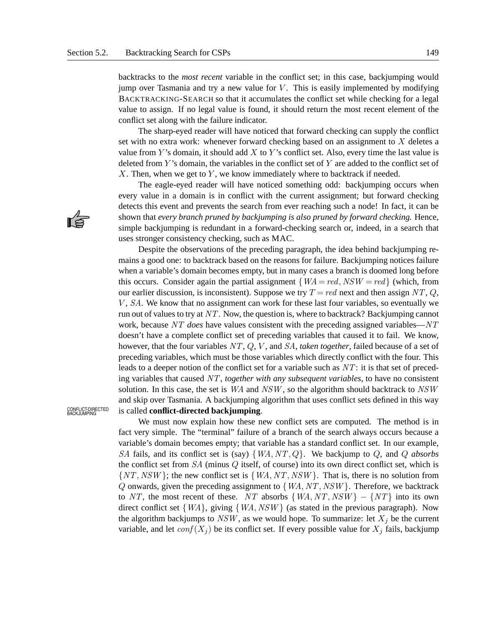backtracks to the *most recent* variable in the conflict set; in this case, backjumping would jump over Tasmania and try a new value for  $V$ . This is easily implemented by modifying BACKTRACKING-SEARCH so that it accumulates the conflict set while checking for a legal value to assign. If no legal value is found, it should return the most recent element of the conflict set along with the failure indicator.

The sharp-eyed reader will have noticed that forward checking can supply the conflict set with no extra work: whenever forward checking based on an assignment to X deletes a value from Y's domain, it should add X to Y's conflict set. Also, every time the last value is deleted from Y's domain, the variables in the conflict set of Y are added to the conflict set of  $X$ . Then, when we get to  $Y$ , we know immediately where to backtrack if needed.

The eagle-eyed reader will have noticed something odd: backjumping occurs when every value in a domain is in conflict with the current assignment; but forward checking detects this event and prevents the search from ever reaching such a node! In fact, it can be shown that *every branch pruned by backjumping is also pruned by forward checking.* Hence, simple backjumping is redundant in a forward-checking search or, indeed, in a search that uses stronger consistency checking, such as MAC.

Despite the observations of the preceding paragraph, the idea behind backjumping remains a good one: to backtrack based on the reasons for failure. Backjumping notices failure when a variable's domain becomes empty, but in many cases a branch is doomed long before this occurs. Consider again the partial assignment  $\{WA = red, NSW = red\}$  (which, from our earlier discussion, is inconsistent). Suppose we try  $T = red$  next and then assign NT, Q, V , SA. We know that no assignment can work for these last four variables, so eventually we run out of values to try at  $NT$ . Now, the question is, where to backtrack? Backjumping cannot work, because NT *does* have values consistent with the preceding assigned variables—NT doesn't have a complete conflict set of preceding variables that caused it to fail. We know, however, that the four variables NT, Q, V , and SA, *taken together*, failed because of a set of preceding variables, which must be those variables which directly conflict with the four. This leads to a deeper notion of the conflict set for a variable such as  $NT$ : it is that set of preceding variables that caused NT, *together with any subsequent variables*, to have no consistent solution. In this case, the set is  $WA$  and  $NSW$ , so the algorithm should backtrack to  $NSW$ and skip over Tasmania. A backjumping algorithm that uses conflict sets defined in this way is called **conflict-directed backjumping**.

We must now explain how these new conflict sets are computed. The method is in fact very simple. The "terminal" failure of a branch of the search always occurs because a variable's domain becomes empty; that variable has a standard conflict set. In our example, SA fails, and its conflict set is (say) {WA, NT, Q}. We backjump to Q, and Q *absorbs* the conflict set from  $SA$  (minus  $Q$  itself, of course) into its own direct conflict set, which is  $\{NT, NSW\}$ ; the new conflict set is  $\{WA, NT, NSW\}$ . That is, there is no solution from Q onwards, given the preceding assignment to  $\{WA, NT, NSW\}$ . Therefore, we backtrack to NT, the most recent of these. NT absorbs  $\{WA, NT, NSW\} - \{NT\}$  into its own direct conflict set  $\{WA\}$ , giving  $\{WA, NSW\}$  (as stated in the previous paragraph). Now the algorithm backjumps to  $NSW$ , as we would hope. To summarize: let  $X_j$  be the current variable, and let  $conf(X_i)$  be its conflict set. If every possible value for  $X_j$  fails, backjump



#### CONFLICT-DIRECTED BACKJUMPING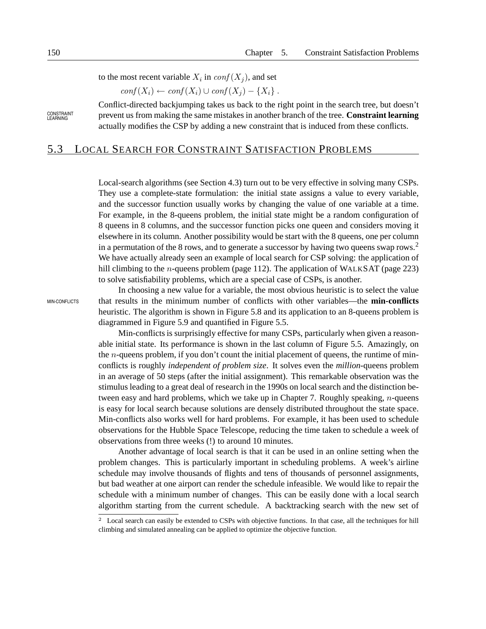to the most recent variable  $X_i$  in  $conf(X_j)$ , and set

 $conf(X_i) \leftarrow conf(X_i) \cup conf(X_i) - \{X_i\}.$ 

Conflict-directed backjumping takes us back to the right point in the search tree, but doesn't prevent us from making the same mistakes in another branch of the tree. **Constraint learning** actually modifies the CSP by adding a new constraint that is induced from these conflicts.

## 5.3 LOCAL SEARCH FOR CONSTRAINT SATISFACTION PROBLEMS

Local-search algorithms (see Section 4.3) turn out to be very effective in solving many CSPs. They use a complete-state formulation: the initial state assigns a value to every variable, and the successor function usually works by changing the value of one variable at a time. For example, in the 8-queens problem, the initial state might be a random configuration of 8 queens in 8 columns, and the successor function picks one queen and considers moving it elsewhere in its column. Another possibility would be start with the 8 queens, one per column in a permutation of the 8 rows, and to generate a successor by having two queens swap rows.<sup>2</sup> We have actually already seen an example of local search for CSP solving: the application of hill climbing to the *n*-queens problem (page 112). The application of WALKSAT (page 223) to solve satisfiability problems, which are a special case of CSPs, is another.

In choosing a new value for a variable, the most obvious heuristic is to select the value MIN-CONFLICTS that results in the minimum number of conflicts with other variables—the **min-conflicts** heuristic. The algorithm is shown in Figure 5.8 and its application to an 8-queens problem is diagrammed in Figure 5.9 and quantified in Figure 5.5.

> Min-conflictsis surprisingly effective for many CSPs, particularly when given a reasonable initial state. Its performance is shown in the last column of Figure 5.5. Amazingly, on the *n*-queens problem, if you don't count the initial placement of queens, the runtime of minconflicts is roughly *independent of problem size*. It solves even the *million*-queens problem in an average of 50 steps (after the initial assignment). This remarkable observation was the stimulus leading to a great deal of research in the 1990s on local search and the distinction between easy and hard problems, which we take up in Chapter 7. Roughly speaking,  $n$ -queens is easy for local search because solutions are densely distributed throughout the state space. Min-conflicts also works well for hard problems. For example, it has been used to schedule observations for the Hubble Space Telescope, reducing the time taken to schedule a week of observations from three weeks (!) to around 10 minutes.

> Another advantage of local search is that it can be used in an online setting when the problem changes. This is particularly important in scheduling problems. A week's airline schedule may involve thousands of flights and tens of thousands of personnel assignments, but bad weather at one airport can render the schedule infeasible. We would like to repair the schedule with a minimum number of changes. This can be easily done with a local search algorithm starting from the current schedule. A backtracking search with the new set of

CONSTRAINT<br>LEARNING

<sup>2</sup> Local search can easily be extended to CSPs with objective functions. In that case, all the techniques for hill climbing and simulated annealing can be applied to optimize the objective function.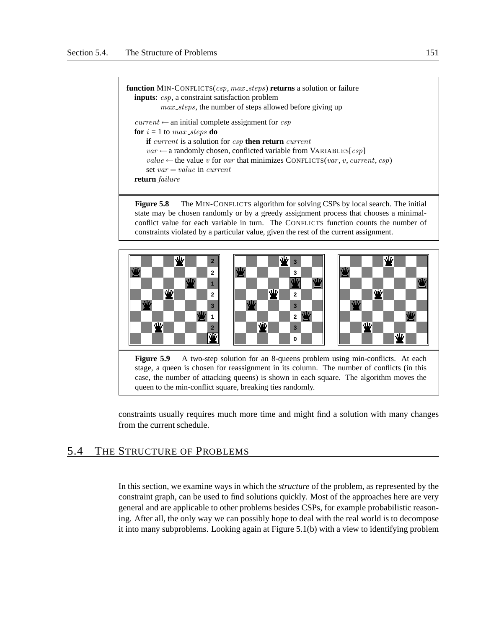**function** MIN-CONFLICTS(csp, max steps) **returns** a solution or failure **inputs**: *csp*, a constraint satisfaction problem max\_steps, the number of steps allowed before giving up  $current \leftarrow$  an initial complete assignment for  $csp$ **for**  $i = 1$  to *max\_steps* **do if** current is a solution for csp **then return** current  $var \leftarrow$  a randomly chosen, conflicted variable from VARIABLES $[csp]$ value  $\leftarrow$  the value v for var that minimizes CONFLICTS(var, v, current, csp) set  $var = value$  in *current* **return** failure

**Figure 5.8** The MIN-CONFLICTS algorithm for solving CSPs by local search. The initial state may be chosen randomly or by a greedy assignment process that chooses a minimalconflict value for each variable in turn. The CONFLICTS function counts the number of constraints violated by a particular value, given the rest of the current assignment.



**Figure 5.9** A two-step solution for an 8-queens problem using min-conflicts. At each stage, a queen is chosen for reassignment in its column. The number of conflicts (in this case, the number of attacking queens) is shown in each square. The algorithm moves the queen to the min-conflict square, breaking ties randomly.

constraints usually requires much more time and might find a solution with many changes from the current schedule.

## 5.4 THE STRUCTURE OF PROBLEMS

In this section, we examine ways in which the *structure* of the problem, as represented by the constraint graph, can be used to find solutions quickly. Most of the approaches here are very general and are applicable to other problems besides CSPs, for example probabilistic reasoning. After all, the only way we can possibly hope to deal with the real world is to decompose it into many subproblems. Looking again at Figure 5.1(b) with a view to identifying problem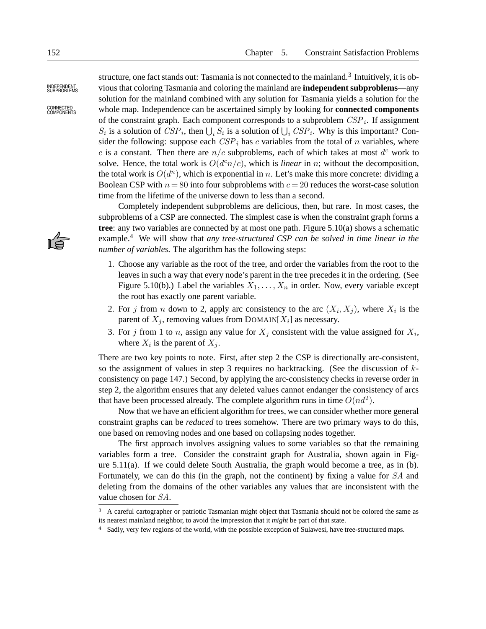INDEPENDENT SUBPROBLEMS

CONNECTED<br>COMPONENTS

rģ

structure, one fact stands out: Tasmania is not connected to the mainland.<sup>3</sup> Intuitively, it is obvious that coloring Tasmania and coloring the mainland are **independent subproblems**—any solution for the mainland combined with any solution for Tasmania yields a solution for the whole map. Independence can be ascertained simply by looking for **connected components** of the constraint graph. Each component corresponds to a subproblem  $CSP_i$ . If assignment  $S_i$  is a solution of  $CSP_i$ , then  $\bigcup_i S_i$  is a solution of  $\bigcup_i CSP_i$ . Why is this important? Consider the following: suppose each  $CSP_i$  has c variables from the total of n variables, where c is a constant. Then there are  $n/c$  subproblems, each of which takes at most  $d<sup>c</sup>$  work to solve. Hence, the total work is  $O(d^cn/c)$ , which is *linear* in *n*; without the decomposition, the total work is  $O(d^n)$ , which is exponential in n. Let's make this more concrete: dividing a Boolean CSP with  $n = 80$  into four subproblems with  $c = 20$  reduces the worst-case solution time from the lifetime of the universe down to less than a second.

Completely independent subproblems are delicious, then, but rare. In most cases, the subproblems of a CSP are connected. The simplest case is when the constraint graph forms a **tree**: any two variables are connected by at most one path. Figure 5.10(a) shows a schematic example.<sup>4</sup> We will show that *any tree-structured CSP can be solved in time linear in the number of variables.* The algorithm has the following steps:

- 1. Choose any variable as the root of the tree, and order the variables from the root to the leaves in such a way that every node's parent in the tree precedes it in the ordering. (See Figure 5.10(b).) Label the variables  $X_1, \ldots, X_n$  in order. Now, every variable except the root has exactly one parent variable.
- 2. For j from *n* down to 2, apply arc consistency to the arc  $(X_i, X_j)$ , where  $X_i$  is the parent of  $X_i$ , removing values from DOMAIN $[X_i]$  as necessary.
- 3. For j from 1 to n, assign any value for  $X_j$  consistent with the value assigned for  $X_i$ , where  $X_i$  is the parent of  $X_j$ .

There are two key points to note. First, after step 2 the CSP is directionally arc-consistent, so the assignment of values in step 3 requires no backtracking. (See the discussion of  $k$ consistency on page 147.) Second, by applying the arc-consistency checks in reverse order in step 2, the algorithm ensures that any deleted values cannot endanger the consistency of arcs that have been processed already. The complete algorithm runs in time  $O(nd^2)$ .

Now that we have an efficient algorithm for trees, we can consider whether more general constraint graphs can be *reduced* to trees somehow. There are two primary ways to do this, one based on removing nodes and one based on collapsing nodes together.

The first approach involves assigning values to some variables so that the remaining variables form a tree. Consider the constraint graph for Australia, shown again in Figure 5.11(a). If we could delete South Australia, the graph would become a tree, as in (b). Fortunately, we can do this (in the graph, not the continent) by fixing a value for SA and deleting from the domains of the other variables any values that are inconsistent with the value chosen for SA.

<sup>&</sup>lt;sup>3</sup> A careful cartographer or patriotic Tasmanian might object that Tasmania should not be colored the same as its nearest mainland neighbor, to avoid the impression that it *might* be part of that state.

<sup>4</sup> Sadly, very few regions of the world, with the possible exception of Sulawesi, have tree-structured maps.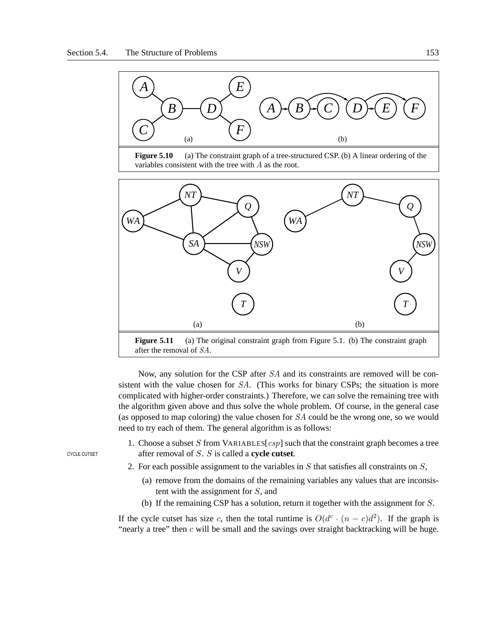

after the removal of SA.

Now, any solution for the CSP after SA and its constraints are removed will be consistent with the value chosen for SA. (This works for binary CSPs; the situation is more complicated with higher-order constraints.) Therefore, we can solve the remaining tree with the algorithm given above and thus solve the whole problem. Of course, in the general case (as opposed to map coloring) the value chosen for SA could be the wrong one, so we would need to try each of them. The general algorithm is as follows:

- 1. Choose a subset S from VARIABLES  $[csp]$  such that the constraint graph becomes a tree CYCLE CUTSET after removal of S. S is called a **cycle cutset**.
	- 2. For each possible assignment to the variables in  $S$  that satisfies all constraints on  $S$ ,
		- (a) remove from the domains of the remaining variables any values that are inconsistent with the assignment for  $S$ , and
		- (b) If the remaining CSP has a solution, return it together with the assignment for S.

If the cycle cutset has size c, then the total runtime is  $O(d^c \cdot (n-c)d^2)$ . If the graph is "nearly a tree" then  $c$  will be small and the savings over straight backtracking will be huge.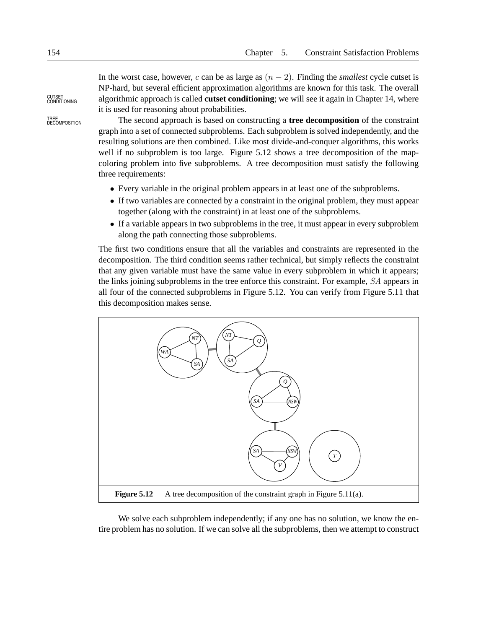In the worst case, however, c can be as large as  $(n - 2)$ . Finding the *smallest* cycle cutset is NP-hard, but several efficient approximation algorithms are known for this task. The overall algorithmic approach is called **cutset conditioning**; we will see it again in Chapter 14, where it is used for reasoning about probabilities.

TREE<br>DECOMPOSITION

CUTSET<br>CONDITIONING

The second approach is based on constructing a **tree decomposition** of the constraint graph into a set of connected subproblems. Each subproblem is solved independently, and the resulting solutions are then combined. Like most divide-and-conquer algorithms, this works well if no subproblem is too large. Figure 5.12 shows a tree decomposition of the mapcoloring problem into five subproblems. A tree decomposition must satisfy the following three requirements:

- Every variable in the original problem appears in at least one of the subproblems.
- If two variables are connected by a constraint in the original problem, they must appear together (along with the constraint) in at least one of the subproblems.
- If a variable appears in two subproblems in the tree, it must appear in every subproblem along the path connecting those subproblems.

The first two conditions ensure that all the variables and constraints are represented in the decomposition. The third condition seems rather technical, but simply reflects the constraint that any given variable must have the same value in every subproblem in which it appears; the links joining subproblems in the tree enforce this constraint. For example, SA appears in all four of the connected subproblems in Figure 5.12. You can verify from Figure 5.11 that this decomposition makes sense.



We solve each subproblem independently; if any one has no solution, we know the entire problem has no solution. If we can solve all the subproblems, then we attempt to construct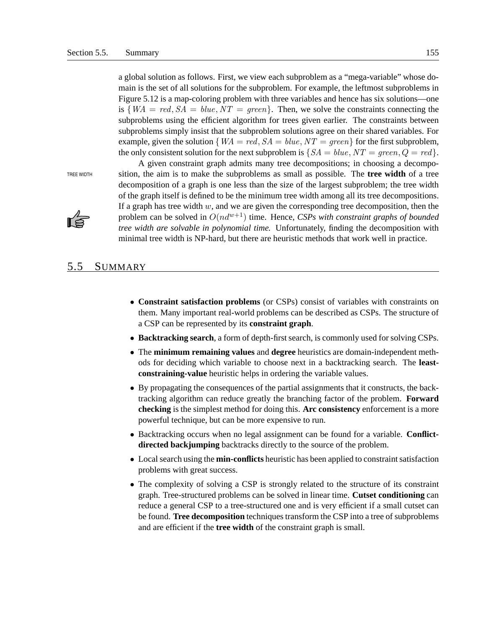a global solution as follows. First, we view each subproblem as a "mega-variable" whose domain is the set of all solutions for the subproblem. For example, the leftmost subproblems in Figure 5.12 is a map-coloring problem with three variables and hence has six solutions—one is  $\{WA = red, SA = blue, NT = green\}$ . Then, we solve the constraints connecting the subproblems using the efficient algorithm for trees given earlier. The constraints between subproblems simply insist that the subproblem solutions agree on their shared variables. For example, given the solution { $WA = red, SA = blue, NT = green$  } for the first subproblem, the only consistent solution for the next subproblem is  $\{SA = blue, NT = green, Q = red\}$ .



A given constraint graph admits many tree decompositions; in choosing a decompo-TREE WIDTH sition, the aim is to make the subproblems as small as possible. The **tree width** of a tree decomposition of a graph is one less than the size of the largest subproblem; the tree width of the graph itself is defined to be the minimum tree width among all its tree decompositions. If a graph has tree width  $w$ , and we are given the corresponding tree decomposition, then the problem can be solved in  $O(nd^{w+1})$  time. Hence, *CSPs with constraint graphs of bounded tree width are solvable in polynomial time.* Unfortunately, finding the decomposition with minimal tree width is NP-hard, but there are heuristic methods that work well in practice.

## 5.5 SUMMARY

- **Constraint satisfaction problems** (or CSPs) consist of variables with constraints on them. Many important real-world problems can be described as CSPs. The structure of a CSP can be represented by its **constraint graph**.
- **Backtracking search**, a form of depth-first search, is commonly used for solving CSPs.
- The **minimum remaining values** and **degree** heuristics are domain-independent methods for deciding which variable to choose next in a backtracking search. The **leastconstraining-value** heuristic helps in ordering the variable values.
- By propagating the consequences of the partial assignments that it constructs, the backtracking algorithm can reduce greatly the branching factor of the problem. **Forward checking** is the simplest method for doing this. **Arc consistency** enforcement is a more powerful technique, but can be more expensive to run.
- Backtracking occurs when no legal assignment can be found for a variable. **Conflictdirected backjumping** backtracks directly to the source of the problem.
- Local search using the **min-conflicts** heuristic has been applied to constraint satisfaction problems with great success.
- The complexity of solving a CSP is strongly related to the structure of its constraint graph. Tree-structured problems can be solved in linear time. **Cutset conditioning** can reduce a general CSP to a tree-structured one and is very efficient if a small cutset can be found. **Tree decomposition** techniquestransform the CSP into a tree of subproblems and are efficient if the **tree width** of the constraint graph is small.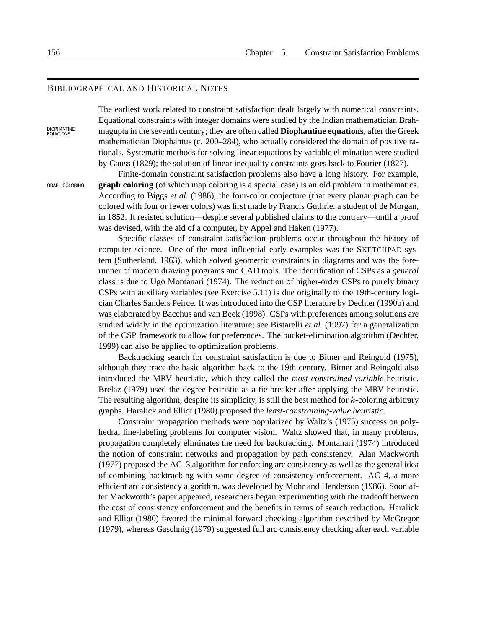#### BIBLIOGRAPHICAL AND HISTORICAL NOTES

EQUATIONS

The earliest work related to constraint satisfaction dealt largely with numerical constraints. Equational constraints with integer domains were studied by the Indian mathematician Brah-DIOPHANTINE magupta in the seventh century; they are often called **Diophantine equations**, after the Greek mathematician Diophantus (c. 200–284), who actually considered the domain of positive rationals. Systematic methods for solving linear equations by variable elimination were studied by Gauss (1829); the solution of linear inequality constraints goes back to Fourier (1827).

Finite-domain constraint satisfaction problems also have a long history. For example, GRAPH COLORING **graph coloring** (of which map coloring is a special case) is an old problem in mathematics. According to Biggs *et al.* (1986), the four-color conjecture (that every planar graph can be colored with four or fewer colors) was first made by Francis Guthrie, a student of de Morgan, in 1852. It resisted solution—despite several published claims to the contrary—until a proof was devised, with the aid of a computer, by Appel and Haken (1977).

> Specific classes of constraint satisfaction problems occur throughout the history of computer science. One of the most influential early examples was the SKETCHPAD system (Sutherland, 1963), which solved geometric constraints in diagrams and was the forerunner of modern drawing programs and CAD tools. The identification of CSPs as a *general* class is due to Ugo Montanari (1974). The reduction of higher-order CSPs to purely binary CSPs with auxiliary variables (see Exercise 5.11) is due originally to the 19th-century logician Charles Sanders Peirce. It was introduced into the CSP literature by Dechter (1990b) and was elaborated by Bacchus and van Beek (1998). CSPs with preferences among solutions are studied widely in the optimization literature; see Bistarelli *et al.* (1997) for a generalization of the CSP framework to allow for preferences. The bucket-elimination algorithm (Dechter, 1999) can also be applied to optimization problems.

> Backtracking search for constraint satisfaction is due to Bitner and Reingold (1975), although they trace the basic algorithm back to the 19th century. Bitner and Reingold also introduced the MRV heuristic, which they called the *most-constrained-variable* heuristic. Brelaz (1979) used the degree heuristic as a tie-breaker after applying the MRV heuristic. The resulting algorithm, despite its simplicity, is still the best method for k-coloring arbitrary graphs. Haralick and Elliot (1980) proposed the *least-constraining-value heuristic*.

> Constraint propagation methods were popularized by Waltz's (1975) success on polyhedral line-labeling problems for computer vision. Waltz showed that, in many problems, propagation completely eliminates the need for backtracking. Montanari (1974) introduced the notion of constraint networks and propagation by path consistency. Alan Mackworth (1977) proposed the AC-3 algorithm for enforcing arc consistency as well as the general idea of combining backtracking with some degree of consistency enforcement. AC-4, a more efficient arc consistency algorithm, was developed by Mohr and Henderson (1986). Soon after Mackworth's paper appeared, researchers began experimenting with the tradeoff between the cost of consistency enforcement and the benefits in terms of search reduction. Haralick and Elliot (1980) favored the minimal forward checking algorithm described by McGregor (1979), whereas Gaschnig (1979) suggested full arc consistency checking after each variable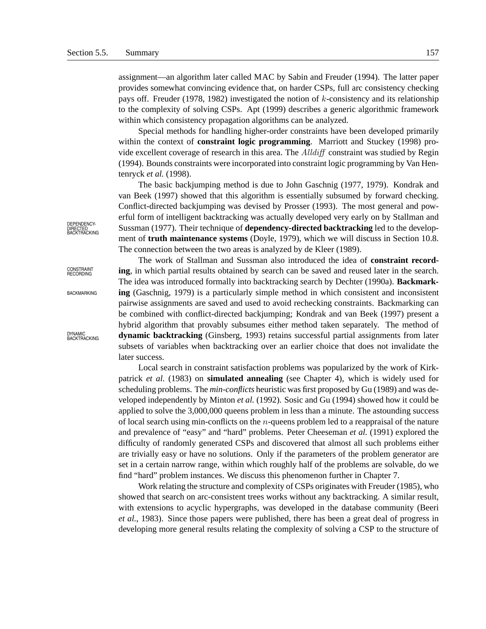assignment—an algorithm later called MAC by Sabin and Freuder (1994). The latter paper provides somewhat convincing evidence that, on harder CSPs, full arc consistency checking pays off. Freuder (1978, 1982) investigated the notion of k-consistency and its relationship to the complexity of solving CSPs. Apt (1999) describes a generic algorithmic framework within which consistency propagation algorithms can be analyzed.

Special methods for handling higher-order constraints have been developed primarily within the context of **constraint logic programming**. Marriott and Stuckey (1998) provide excellent coverage of research in this area. The Alldiff constraint was studied by Regin (1994). Bounds constraints were incorporated into constraint logic programming by Van Hentenryck *et al.* (1998).

The basic backjumping method is due to John Gaschnig (1977, 1979). Kondrak and van Beek (1997) showed that this algorithm is essentially subsumed by forward checking. Conflict-directed backjumping was devised by Prosser (1993). The most general and powerful form of intelligent backtracking was actually developed very early on by Stallman and DEPENDENCY-<br>DIRECTED Sussman (1977). Their technique of **dependency-directed backtracking** led to the development of **truth maintenance systems** (Doyle, 1979), which we will discuss in Section 10.8. The connection between the two areas is analyzed by de Kleer (1989).

The work of Stallman and Sussman also introduced the idea of **constraint record-CONSTRAINT ing**, in which partial results obtained by search can be saved and reused later in the search. The idea was introduced formally into backtracking search by Dechter (1990a). **Backmark-**BACKMARKING **ing** (Gaschnig, 1979) is a particularly simple method in which consistent and inconsistent pairwise assignments are saved and used to avoid rechecking constraints. Backmarking can be combined with conflict-directed backjumping; Kondrak and van Beek (1997) present a hybrid algorithm that provably subsumes either method taken separately. The method of **dynamic backtracking** (Ginsberg, 1993) retains successful partial assignments from later subsets of variables when backtracking over an earlier choice that does not invalidate the later success.

> Local search in constraint satisfaction problems was popularized by the work of Kirkpatrick *et al.* (1983) on **simulated annealing** (see Chapter 4), which is widely used for scheduling problems. The *min-conflicts* heuristic was first proposed by Gu (1989) and was developed independently by Minton *et al.* (1992). Sosic and Gu (1994) showed how it could be applied to solve the 3,000,000 queens problem in less than a minute. The astounding success of local search using min-conflicts on the  $n$ -queens problem led to a reappraisal of the nature and prevalence of "easy" and "hard" problems. Peter Cheeseman *et al.* (1991) explored the difficulty of randomly generated CSPs and discovered that almost all such problems either are trivially easy or have no solutions. Only if the parameters of the problem generator are set in a certain narrow range, within which roughly half of the problems are solvable, do we find "hard" problem instances. We discuss this phenomenon further in Chapter 7.

> Work relating the structure and complexity of CSPs originates with Freuder (1985), who showed that search on arc-consistent trees works without any backtracking. A similar result, with extensions to acyclic hypergraphs, was developed in the database community (Beeri *et al.*, 1983). Since those papers were published, there has been a great deal of progress in developing more general results relating the complexity of solving a CSP to the structure of

DIRECTED BACKTRACKING

**RECORDING** 

DYNAMIC<br>BACKTRACKING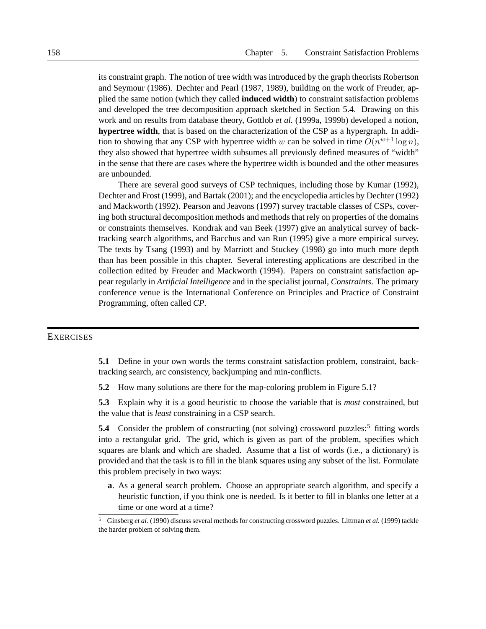its constraint graph. The notion of tree width was introduced by the graph theorists Robertson and Seymour (1986). Dechter and Pearl (1987, 1989), building on the work of Freuder, applied the same notion (which they called **induced width**) to constraint satisfaction problems and developed the tree decomposition approach sketched in Section 5.4. Drawing on this work and on results from database theory, Gottlob *et al.* (1999a, 1999b) developed a notion, **hypertree width**, that is based on the characterization of the CSP as a hypergraph. In addition to showing that any CSP with hypertree width w can be solved in time  $O(n^{w+1} \log n)$ , they also showed that hypertree width subsumes all previously defined measures of "width" in the sense that there are cases where the hypertree width is bounded and the other measures are unbounded.

There are several good surveys of CSP techniques, including those by Kumar (1992), Dechter and Frost (1999), and Bartak (2001); and the encyclopedia articles by Dechter (1992) and Mackworth (1992). Pearson and Jeavons (1997) survey tractable classes of CSPs, covering both structural decomposition methods and methods that rely on properties of the domains or constraints themselves. Kondrak and van Beek (1997) give an analytical survey of backtracking search algorithms, and Bacchus and van Run (1995) give a more empirical survey. The texts by Tsang (1993) and by Marriott and Stuckey (1998) go into much more depth than has been possible in this chapter. Several interesting applications are described in the collection edited by Freuder and Mackworth (1994). Papers on constraint satisfaction appear regularly in *Artificial Intelligence* and in the specialist journal, *Constraints*. The primary conference venue is the International Conference on Principles and Practice of Constraint Programming, often called *CP*.

#### **EXERCISES**

**5.1** Define in your own words the terms constraint satisfaction problem, constraint, backtracking search, arc consistency, backjumping and min-conflicts.

**5.2** How many solutions are there for the map-coloring problem in Figure 5.1?

**5.3** Explain why it is a good heuristic to choose the variable that is *most* constrained, but the value that is *least* constraining in a CSP search.

**5.4** Consider the problem of constructing (not solving) crossword puzzles:<sup>5</sup> fitting words into a rectangular grid. The grid, which is given as part of the problem, specifies which squares are blank and which are shaded. Assume that a list of words (i.e., a dictionary) is provided and that the task is to fill in the blank squares using any subset of the list. Formulate this problem precisely in two ways:

**a**. As a general search problem. Choose an appropriate search algorithm, and specify a heuristic function, if you think one is needed. Is it better to fill in blanks one letter at a time or one word at a time?

<sup>5</sup> Ginsberg *et al.* (1990) discuss several methods for constructing crossword puzzles. Littman *et al.* (1999) tackle the harder problem of solving them.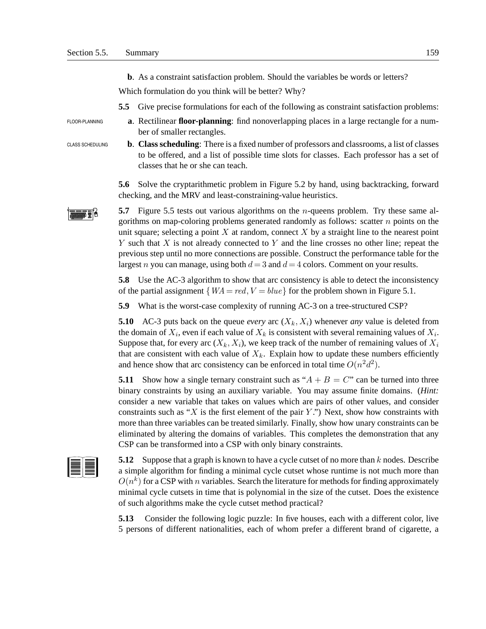**b**. As a constraint satisfaction problem. Should the variables be words or letters?

Which formulation do you think will be better? Why?

- **5.5** Give precise formulations for each of the following as constraint satisfaction problems:
- 
- FLOOR-PLANNING **a**. Rectilinear **floor-planning**: find nonoverlapping places in a large rectangle for a number of smaller rectangles.
- CLASS SCHEDULING **b**. **Classscheduling**: There is a fixed number of professors and classrooms, a list of classes to be offered, and a list of possible time slots for classes. Each professor has a set of classes that he or she can teach.

**5.6** Solve the cryptarithmetic problem in Figure 5.2 by hand, using backtracking, forward checking, and the MRV and least-constraining-value heuristics.

**5.7** Figure 5.5 tests out various algorithms on the *n*-queens problem. Try these same algorithms on map-coloring problems generated randomly as follows: scatter  $n$  points on the unit square; selecting a point  $X$  at random, connect  $X$  by a straight line to the nearest point  $Y$  such that  $X$  is not already connected to  $Y$  and the line crosses no other line; repeat the previous step until no more connections are possible. Construct the performance table for the largest n you can manage, using both  $d = 3$  and  $d = 4$  colors. Comment on your results.

**5.8** Use the AC-3 algorithm to show that arc consistency is able to detect the inconsistency of the partial assignment { $WA = red, V = blue$ } for the problem shown in Figure 5.1.

**5.9** What is the worst-case complexity of running AC-3 on a tree-structured CSP?

**5.10** AC-3 puts back on the queue *every* arc  $(X_k, X_i)$  whenever *any* value is deleted from the domain of  $X_i$ , even if each value of  $X_k$  is consistent with several remaining values of  $X_i$ . Suppose that, for every arc  $(X_k, X_i)$ , we keep track of the number of remaining values of  $X_i$ that are consistent with each value of  $X_k$ . Explain how to update these numbers efficiently and hence show that arc consistency can be enforced in total time  $O(n^2d^2)$ .

**5.11** Show how a single ternary constraint such as " $A + B = C$ " can be turned into three binary constraints by using an auxiliary variable. You may assume finite domains. (*Hint:* consider a new variable that takes on values which are pairs of other values, and consider constraints such as "X is the first element of the pair Y.") Next, show how constraints with more than three variables can be treated similarly. Finally, show how unary constraints can be eliminated by altering the domains of variables. This completes the demonstration that any CSP can be transformed into a CSP with only binary constraints.



**5.12** Suppose that a graph is known to have a cycle cutset of no more than k nodes. Describe a simple algorithm for finding a minimal cycle cutset whose runtime is not much more than  $O(n^k)$  for a CSP with n variables. Search the literature for methods for finding approximately minimal cycle cutsets in time that is polynomial in the size of the cutset. Does the existence of such algorithms make the cycle cutset method practical?

**5.13** Consider the following logic puzzle: In five houses, each with a different color, live 5 persons of different nationalities, each of whom prefer a different brand of cigarette, a